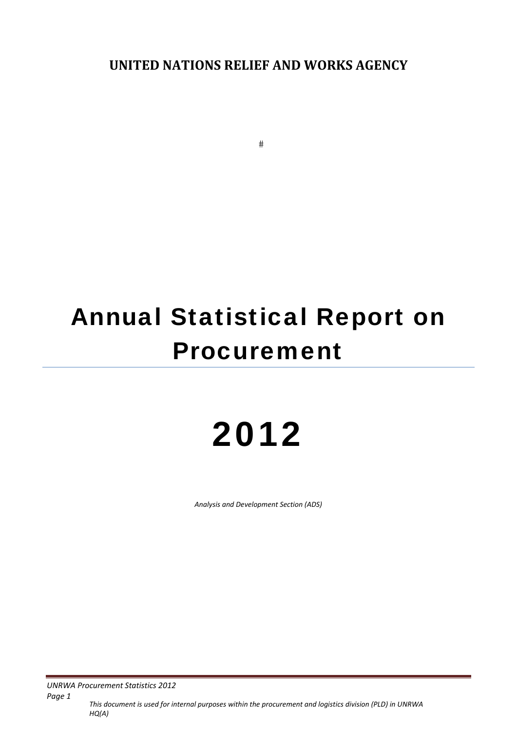**UNITED NATIONS RELIEF AND WORKS AGENCY**

 $#$ 

# Annual Statistical Report on Procurement

# 2012

*Analysis and Development Section (ADS)*

**UNRWA Procurement Statistics 2012** 

*Page 1 This document is used for internal purposes within the procurement and logistics division (PLD) in UNRWA HQ(A)*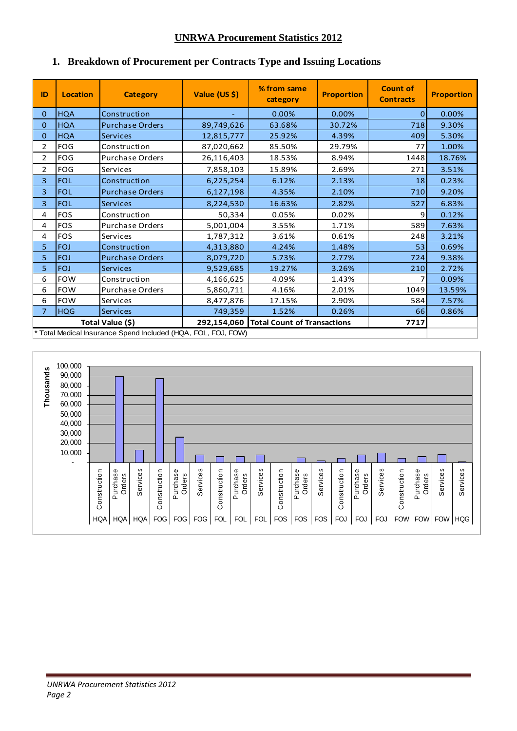#### **UNRWA Procurement Statistics 2012**

| ID             | <b>Location</b> | <b>Category</b>                                               | Value (US \$) | % from same<br>category                 | <b>Proportion</b> | <b>Count of</b><br><b>Contracts</b> | <b>Proportion</b> |
|----------------|-----------------|---------------------------------------------------------------|---------------|-----------------------------------------|-------------------|-------------------------------------|-------------------|
| $\overline{0}$ | <b>HQA</b>      | Construction                                                  |               | 0.00%                                   | 0.00%             | $\overline{0}$                      | 0.00%             |
| 0              | <b>HQA</b>      | <b>Purchase Orders</b>                                        | 89,749,626    | 63.68%                                  | 30.72%            | 718                                 | 9.30%             |
| 0              | <b>HQA</b>      | <b>Services</b>                                               | 12,815,777    | 25.92%                                  | 4.39%             | 409                                 | 5.30%             |
| $\overline{2}$ | <b>FOG</b>      | Construction                                                  | 87,020,662    | 85.50%                                  | 29.79%            | 77                                  | 1.00%             |
| $\overline{2}$ | <b>FOG</b>      | <b>Purchase Orders</b>                                        | 26,116,403    | 18.53%                                  | 8.94%             | 1448                                | 18.76%            |
| $\overline{2}$ | <b>FOG</b>      | Services                                                      | 7,858,103     | 15.89%                                  | 2.69%             | 271                                 | 3.51%             |
| 3              | <b>FOL</b>      | Construction                                                  | 6,225,254     | 6.12%                                   | 2.13%             | 18                                  | 0.23%             |
| 3              | <b>FOL</b>      | <b>Purchase Orders</b>                                        | 6,127,198     | 4.35%                                   | 2.10%             | 710                                 | 9.20%             |
| 3              | <b>FOL</b>      | <b>Services</b>                                               | 8,224,530     | 16.63%                                  | 2.82%             | 527                                 | 6.83%             |
| 4              | <b>FOS</b>      | Construction                                                  | 50,334        | 0.05%                                   | 0.02%             | 9                                   | 0.12%             |
| 4              | FOS             | Purchase Orders                                               | 5,001,004     | 3.55%                                   | 1.71%             | 589                                 | 7.63%             |
| 4              | <b>FOS</b>      | Services                                                      | 1,787,312     | 3.61%                                   | 0.61%             | 248                                 | 3.21%             |
| 5              | <b>FOJ</b>      | Construction                                                  | 4,313,880     | 4.24%                                   | 1.48%             | 53                                  | 0.69%             |
| 5              | <b>FOJ</b>      | <b>Purchase Orders</b>                                        | 8,079,720     | 5.73%                                   | 2.77%             | 724                                 | 9.38%             |
| 5.             | <b>FOJ</b>      | <b>Services</b>                                               | 9,529,685     | 19.27%                                  | 3.26%             | 210                                 | 2.72%             |
| 6              | <b>FOW</b>      | Construction                                                  | 4,166,625     | 4.09%                                   | 1.43%             |                                     | 0.09%             |
| 6              | <b>FOW</b>      | <b>Purchase Orders</b>                                        | 5,860,711     | 4.16%                                   | 2.01%             | 1049                                | 13.59%            |
| 6              | <b>FOW</b>      | Services                                                      | 8,477,876     | 17.15%                                  | 2.90%             | 584                                 | 7.57%             |
| $\overline{7}$ | <b>HQG</b>      | <b>Services</b>                                               | 749,359       | 1.52%                                   | 0.26%             | 66                                  | 0.86%             |
|                |                 | Total Value (\$)                                              |               | 292,154,060 Total Count of Transactions |                   | 7717                                |                   |
|                |                 | * Total Medical Insurance Spend Included (HQA, FOL, FOJ, FOW) |               |                                         |                   |                                     |                   |

### **1. Breakdown of Procurement per Contracts Type and Issuing Locations**

100,000 Thousands **Thousands**90,000 80,000 70,000 60,000 50,000 40,000 30,000 20,000 10,000  $\Box$ Ξ  $\Box$ - Purchase<br>Orders Purchase<br>Orders Purchase<br>Orders Purchase<br>Orders Services Purchase<br>Orders Purchase<br>Orders **Services** Services **Services** Construction Construction Services Construction Services Construction Construction Services Construction Construction Purchase Construction Purchase **Construction** Purchase **Construction** Purchase **Construction** Purchase **Construction** Purchase  $HQA$  HQA HQA FOG FOG FOG FOL FOL FOL FOL FOS FOS FOS FOJ FOJ FOJ FOU FOW FOW FOW HQG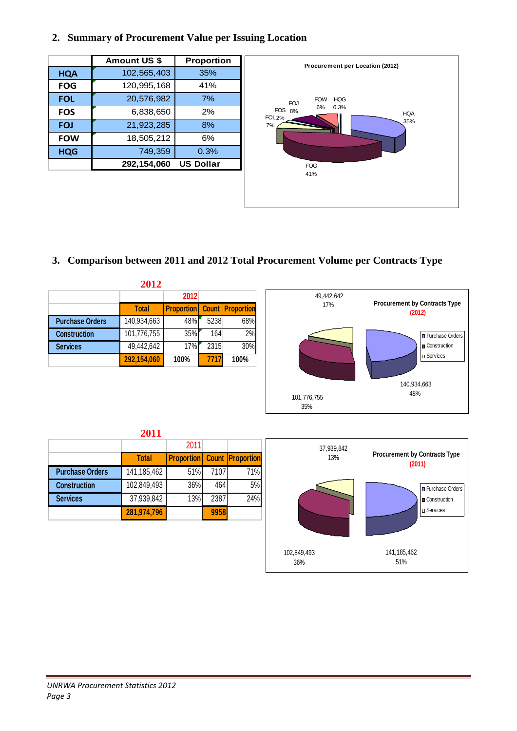#### **2. Summary of Procurement Value per Issuing Location**

| 102,565,403<br>120,995,168 | 35%<br>41%       |
|----------------------------|------------------|
|                            |                  |
|                            |                  |
|                            | 7%               |
| 6,838,650                  | 2%               |
| 21,923,285                 | 8%               |
| 18,505,212                 | 6%               |
| 749,359                    | 0.3%             |
| 292,154,060                | <b>US Dollar</b> |
|                            | 20,576,982       |



# **3. Comparison between 2011 and 2012 Total Procurement Volume per Contracts Type**

| 2012                   |              |                                           |      |      |  |  |  |  |  |
|------------------------|--------------|-------------------------------------------|------|------|--|--|--|--|--|
|                        |              | 2012                                      |      |      |  |  |  |  |  |
|                        | <b>Total</b> | <b>Proportion</b> Count <b>Proportion</b> |      |      |  |  |  |  |  |
| <b>Purchase Orders</b> | 140,934,663  | 48%                                       | 5238 | 68%  |  |  |  |  |  |
| <b>Construction</b>    | 101,776,755  | 35%                                       | 164  | 2%   |  |  |  |  |  |
| <b>Services</b>        | 49,442,642   | 17%                                       | 2315 | 30%  |  |  |  |  |  |
|                        | 292,154,060  | 100%                                      | 7717 | 100% |  |  |  |  |  |





| $\sim$ |  |  |
|--------|--|--|

2011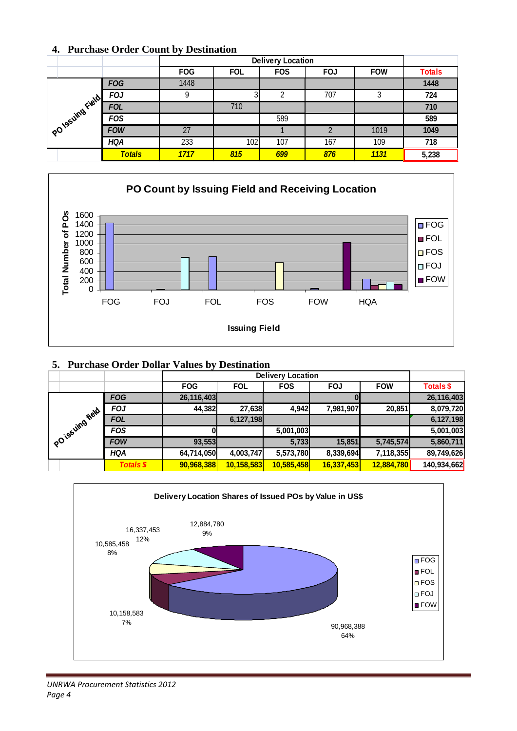#### **4. Purchase Order Count by Destination**

|                 |               |            | <b>Delivery Location</b> |            |            |            |               |  |  |  |
|-----------------|---------------|------------|--------------------------|------------|------------|------------|---------------|--|--|--|
|                 |               | <b>FOG</b> | <b>FOL</b>               | <b>FOS</b> | <b>FOJ</b> | <b>FOW</b> | <b>Totals</b> |  |  |  |
| PO1ssuing Field | <b>FOG</b>    | 1448       |                          |            |            |            | 1448          |  |  |  |
|                 | <b>FOJ</b>    | 9          | 3                        | ົ          | 707        | 3          | 724           |  |  |  |
|                 | <b>FOL</b>    |            | 710                      |            |            |            | 710           |  |  |  |
|                 | <b>FOS</b>    |            |                          | 589        |            |            | 589           |  |  |  |
|                 | <b>FOW</b>    | 27         |                          |            | ∩          | 1019       | 1049          |  |  |  |
|                 | <b>HQA</b>    | 233        | 102                      | 107        | 167        | 109        | 718           |  |  |  |
|                 | <b>Totals</b> | 1717       | 815                      | 699        | 876        | 1131       | 5,238         |  |  |  |



#### **5. Purchase Order Dollar Values by Destination**

|              |                  | $\cdot$    | <b>Delivery Location</b> |            |            |            |                  |  |  |  |
|--------------|------------------|------------|--------------------------|------------|------------|------------|------------------|--|--|--|
|              |                  | <b>FOG</b> | <b>FOL</b>               | <b>FOS</b> | <b>FOJ</b> | <b>FOW</b> | <b>Totals \$</b> |  |  |  |
|              | <b>FOG</b>       | 26,116,403 |                          |            |            |            | 26,116,403       |  |  |  |
|              | <b>FOJ</b>       | 44,382     | 27,638                   | 4,942      | 7,981,907  | 20,851     | 8,079,720        |  |  |  |
|              | <b>FOL</b>       |            | 6,127,198                |            |            |            | 6,127,198        |  |  |  |
|              | <b>FOS</b>       |            |                          | 5,001,003  |            |            | 5,001,003        |  |  |  |
| POTSSUMBTION | <b>FOW</b>       | 93,553     |                          | 5,733      | 15,851     | 5,745,574  | 5,860,711        |  |  |  |
|              | <b>HQA</b>       | 64,714,050 | 4,003,747                | 5,573,780  | 8,339,694  | 7,118,355  | 89,749,626       |  |  |  |
|              | <b>Totals \$</b> | 90,968,388 | 10, 158, 583             | 10,585,458 | 16,337,453 | 12,884,780 | 140,934,662      |  |  |  |

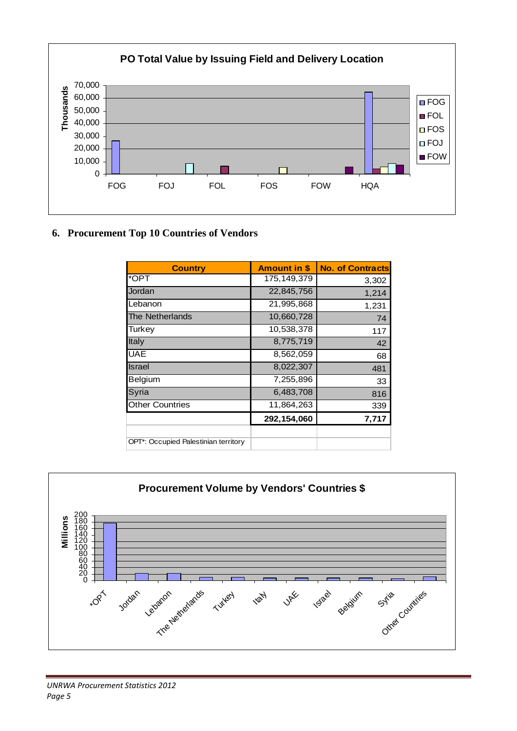

# **6. Procurement Top 10 Countries of Vendors**

| <b>Country</b>                       | <b>Amount in \$</b> | <b>No. of Contracts</b> |
|--------------------------------------|---------------------|-------------------------|
| *OPT                                 | 175, 149, 379       | 3,302                   |
| Jordan                               | 22,845,756          | 1,214                   |
| Lebanon                              | 21,995,868          | 1,231                   |
| The Netherlands                      | 10,660,728          | 74                      |
| Turkey                               | 10,538,378          | 117                     |
| Italy                                | 8,775,719           | 42                      |
| <b>UAE</b>                           | 8,562,059           | 68                      |
| Israel                               | 8,022,307           | 481                     |
| Belgium                              | 7,255,896           | 33                      |
| Syria                                | 6,483,708           | 816                     |
| <b>Other Countries</b>               | 11,864,263          | 339                     |
|                                      | 292,154,060         | 7,717                   |
|                                      |                     |                         |
| OPT*: Occupied Palestinian territory |                     |                         |

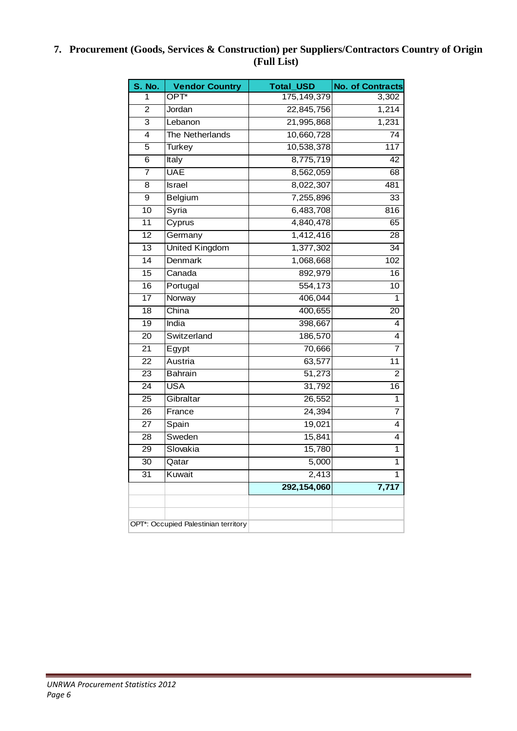#### **7. Procurement (Goods, Services & Construction) per Suppliers/Contractors Country of Origin (Full List)**

| <b>S. No.</b>   | <b>Vendor Country</b>                | <b>Total_USD</b> | <b>No. of Contracts</b> |
|-----------------|--------------------------------------|------------------|-------------------------|
| 1               | OPT*                                 | 175, 149, 379    | 3,302                   |
| $\overline{2}$  | Jordan                               | 22,845,756       | 1,214                   |
| $\overline{3}$  | Lebanon                              | 21,995,868       | 1,231                   |
| 4               | The Netherlands                      | 10,660,728       | $\overline{74}$         |
| $\overline{5}$  | <b>Turkey</b>                        | 10,538,378       | 117                     |
| 6               | Italy                                | 8,775,719        | $\overline{42}$         |
| $\overline{7}$  | <b>UAE</b>                           | 8,562,059        | $\overline{68}$         |
| $\overline{8}$  | Israel                               | 8,022,307        | 481                     |
| $\overline{9}$  | Belgium                              | 7,255,896        | $\overline{33}$         |
| 10              | Syria                                | 6,483,708        | 816                     |
| 11              | Cyprus                               | 4,840,478        | 65                      |
| $\overline{12}$ | Germany                              | 1,412,416        | 28                      |
| $\overline{13}$ | <b>United Kingdom</b>                | 1,377,302        | $\overline{34}$         |
| 14              | Denmark                              | 1,068,668        | 102                     |
| $\overline{15}$ | Canada                               | 892,979          | 16                      |
| 16              | Portugal                             | 554,173          | $\overline{10}$         |
| $\overline{17}$ | Norway                               | 406,044          | 1                       |
| 18              | China                                | 400,655          | 20                      |
| $\overline{19}$ | India                                | 398,667          | 4                       |
| $\overline{20}$ | Switzerland                          | 186,570          | $\overline{4}$          |
| 21              | Egypt                                | 70,666           | 7                       |
| 22              | Austria                              | 63,577           | $\overline{11}$         |
| $\overline{23}$ | <b>Bahrain</b>                       | 51,273           | $\overline{2}$          |
| $\overline{24}$ | <b>USA</b>                           | 31,792           | $\overline{16}$         |
| 25              | Gibraltar                            | 26,552           | 1                       |
| $\overline{26}$ | France                               | 24,394           | 7                       |
| $\overline{27}$ | Spain                                | 19,021           | 4                       |
| 28              | Sweden                               | 15,841           | 4                       |
| $\overline{29}$ | Slovakia                             | 15,780           | $\overline{1}$          |
| $\overline{30}$ | Qatar                                | 5,000            | 1                       |
| 31              | Kuwait                               | 2,413            | 1                       |
|                 |                                      | 292,154,060      | $\overline{7,717}$      |
|                 |                                      |                  |                         |
|                 | OPT*: Occupied Palestinian territory |                  |                         |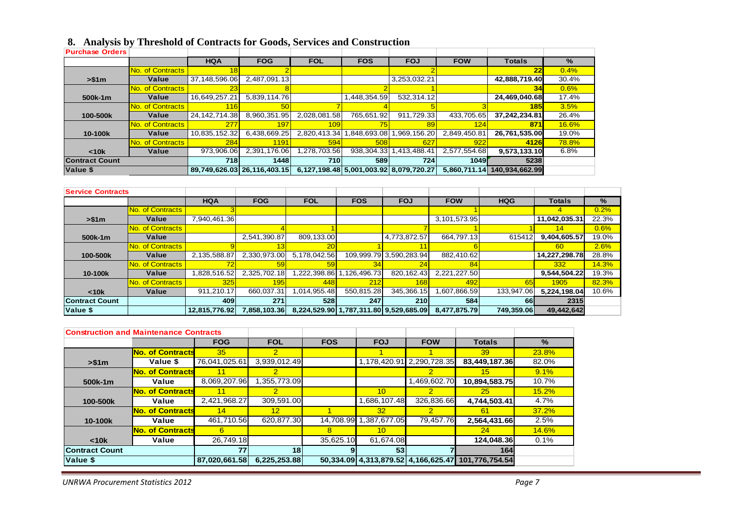|  |  |  | 8. Analysis by Threshold of Contracts for Goods, Services and Construction |
|--|--|--|----------------------------------------------------------------------------|
|  |  |  |                                                                            |

| <b>Purchase Orders</b> |                  |                  |                             |              |                                        |              |              |                |              |
|------------------------|------------------|------------------|-----------------------------|--------------|----------------------------------------|--------------|--------------|----------------|--------------|
|                        |                  | <b>HQA</b>       | <b>FOG</b>                  | <b>FOL</b>   | <b>FOS</b>                             | <b>FOJ</b>   | <b>FOW</b>   | <b>Totals</b>  | %            |
|                        | No. of Contracts | 18               |                             |              |                                        |              |              | 22             | 0.4%         |
| > \$1m                 | Value            | 37,148,596.06    | 2.487.091.13                |              |                                        | 3,253,032.21 |              | 42,888,719.40  | 30.4%        |
|                        | No. of Contracts | 23 <sub>1</sub>  |                             |              |                                        |              |              | 34             | 0.6%         |
| 500k-1m                | Value            | 16,649,257.21    | 5,839,114.76                |              | 448,354.59                             | 532,314.12   |              | 24,469,040.68  | 17.4%        |
|                        | No. of Contracts | 116              | 50                          |              |                                        |              |              | 185            | 3.5%         |
| 100-500k               | Value            | 24, 142, 714. 38 | 8,960,351.95                | 2.028.081.58 | 765,651.92                             | 911.729.33   | 433,705.65   | 37,242,234.81  | 26.4%        |
|                        | No. of Contracts | 277              | 197                         | 109          | 75                                     | 89           | 124          | 871            | <b>16.6%</b> |
| 10-100k                | Value            | 10,835,152.32    | 6,438,669.25                | 2,820,413.34 | 848,693.08                             | .969,156.20  | 2,849,450.81 | 26,761,535.00  | 19.0%        |
|                        | No. of Contracts | 284              | 1191                        | 594          | <b>508</b>                             | 627          | 922          | 4126           | 78.8%        |
| < 10k                  | Value            | 973,906.06       | 2,391,176.06                | 278,703.56.  | 938, 304. 33                           | 413,488.41   | 2,577,554.68 | 9,573,133.10   | 6.8%         |
| <b>Contract Count</b>  |                  | 718              | 1448                        | 710          | 589                                    | 724 I        | <b>1049</b>  | 5238           |              |
| Value \$               |                  |                  | 89.749.626.03 26.116.403.15 |              | 6,127,198.48 5,001,003.92 8,079,720.27 |              | 5.860.711.14 | 140.934.662.99 |              |

| <b>Service Contracts</b> |                         |               |              |              |            |                                        |              |            |               |       |
|--------------------------|-------------------------|---------------|--------------|--------------|------------|----------------------------------------|--------------|------------|---------------|-------|
|                          |                         | <b>HQA</b>    | <b>FOG</b>   | <b>FOL</b>   | <b>FOS</b> | <b>FOJ</b>                             | <b>FOW</b>   | <b>HQG</b> | <b>Totals</b> | %     |
|                          | No. of Contracts        |               |              |              |            |                                        |              |            | 4             | 0.2%  |
| > \$1m                   | Value                   | 7,940,461.36  |              |              |            |                                        | 3,101,573.95 |            | 11,042,035.31 | 22.3% |
|                          | No. of Contracts        |               |              |              |            |                                        |              |            | 14            | 0.6%  |
| 500k-1m                  | Value                   |               | 2,541,390.87 | 809,133.00   |            | 4,773,872.57                           | 664.797.13   | 615412     | 9,404,605.57  | 19.0% |
|                          | <b>No. of Contracts</b> |               |              | 20           |            |                                        |              |            | <b>60</b>     | 2.6%  |
| 100-500k                 | Value                   | 2,135,588.87  | 2,330,973.00 | 5,178,042.56 |            | 109,999.79 3,590,283.94                | 882,410.62   |            | 14,227,298.78 | 28.8% |
|                          | No. of Contracts        | 72            |              | 59           | 34         | 24                                     | 84           |            | 332           | 14.3% |
| 10-100k                  | Value                   | 1,828,516.52  | 2,325,702.18 | 1,222,398.86 | 126,496.73 | 820, 162. 43                           | 2,221,227.50 |            | 9,544,504.22  | 19.3% |
|                          | No. of Contracts        | 325           | 195          | 448          | 212        | 168                                    | 492          | 65         | 1905          | 82.3% |
| < 10k                    | Value                   | 911.210.17    | 660.037.31   | 1,014,955.48 | 550.815.28 | 345.366.15                             | ,607,866.59  | 133.947.06 | 5.224.198.04  | 10.6% |
| <b>Contract Count</b>    |                         | 409           | 271          | 528          | 247        | <b>210</b>                             | 584          | 66         | 2315          |       |
| Value \$                 |                         | 12.815.776.92 | 7.858.103.36 |              |            | 8,224,529.90 1,787,311.80 9,529,685.09 | 8.477.875.79 | 749.359.06 | 49,442,642    |       |

| <b>Construction and Maintenance Contracts</b> |                         |               |                 |            |                 |                           |                                                    |              |
|-----------------------------------------------|-------------------------|---------------|-----------------|------------|-----------------|---------------------------|----------------------------------------------------|--------------|
|                                               |                         | <b>FOG</b>    | <b>FOL</b>      | <b>FOS</b> | <b>FOJ</b>      | <b>FOW</b>                | <b>Totals</b>                                      | $\%$         |
|                                               | <b>No. of Contracts</b> | 35            | $\mathcal{P}$   |            |                 |                           | 39                                                 | 23.8%        |
| > \$1m                                        | Value \$                | 76,041,025.61 | 3,939,012.49    |            |                 | 1,178,420.91 2,290,728.35 | 83,449,187.36                                      | 82.0%        |
|                                               | <b>No. of Contracts</b> | 11            | 2               |            |                 | 2                         | 15 <sup>1</sup>                                    | 9.1%         |
| 500k-1m                                       | Value                   | 8,069,207.96  | .355,773.09     |            |                 | ,469,602.70               | 10,894,583.75                                      | 10.7%        |
|                                               | <b>No. of Contracts</b> |               | 2               |            | 10 <sup>1</sup> | $\overline{2}$            | 25                                                 | 15.2%        |
| 100-500k                                      | Value                   | 2,421,968.27  | 309,591.00      |            | .686,107.48     | 326,836.66                | 4,744,503.41                                       | 4.7%         |
|                                               | <b>No. of Contracts</b> | 14            | 12 <sup>°</sup> |            | 32              | $\overline{2}$            | 61                                                 | 37.2%        |
| 10-100k                                       | Value                   | 461,710.56    | 620,877.30      | 14,708.99  | 1,387,677.05    | 79.457.76                 | 2,564,431.66                                       | 2.5%         |
|                                               | <b>No. of Contracts</b> | 6.            |                 | 8          | 10 <sup>1</sup> |                           | 24                                                 | <b>14.6%</b> |
| < 10k                                         | Value                   | 26,749.18     |                 | 35,625.10  | 61.674.08       |                           | 124,048.36                                         | 0.1%         |
| lContract Count                               |                         | 77            | 18 <sup>1</sup> |            | 53              |                           | 164                                                |              |
| Value \$                                      |                         | 87,020,661.58 | 6,225,253.88    |            |                 |                           | 50,334.09 4,313,879.52 4,166,625.47 101,776,754.54 |              |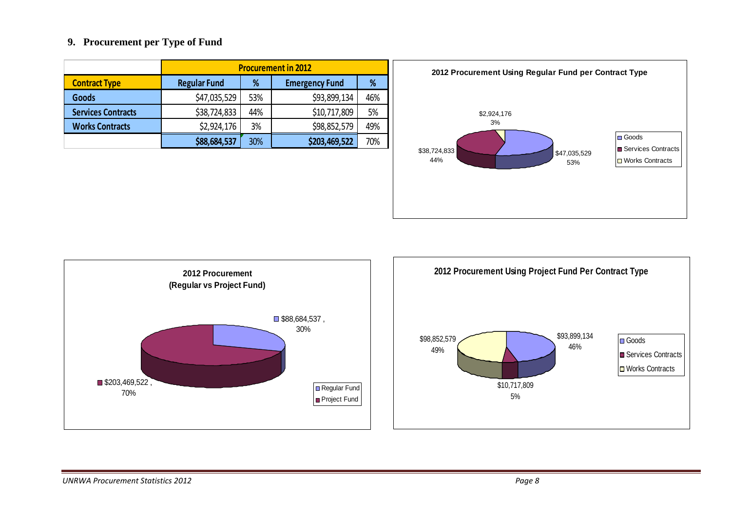#### **9. Procurement per Type of Fund**

|                           | <b>Procurement in 2012</b> |     |                       |     |
|---------------------------|----------------------------|-----|-----------------------|-----|
| <b>Contract Type</b>      | <b>Regular Fund</b>        | %   | <b>Emergency Fund</b> | %   |
| <b>Goods</b>              | \$47,035,529               | 53% | \$93,899,134          | 46% |
| <b>Services Contracts</b> | \$38,724,833               | 44% | \$10,717,809          | 5%  |
| <b>Works Contracts</b>    | \$2,924,176                | 3%  | \$98,852,579          | 49% |
|                           | \$88,684,537               | 30% | \$203,469,522         | 70% |





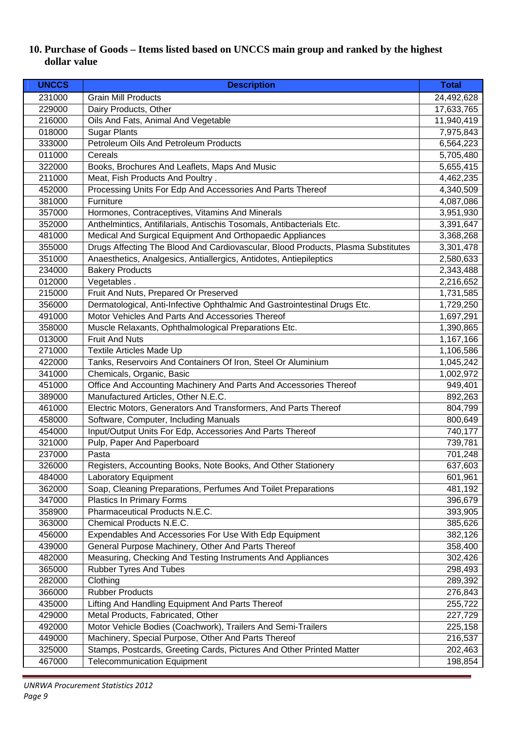## **10. Purchase of Goods – Items listed based on UNCCS main group and ranked by the highest dollar value**

| <b>UNCCS</b> | <b>Description</b>                                                               | <b>Total</b> |
|--------------|----------------------------------------------------------------------------------|--------------|
| 231000       | <b>Grain Mill Products</b>                                                       | 24,492,628   |
| 229000       | Dairy Products, Other                                                            | 17,633,765   |
| 216000       | Oils And Fats, Animal And Vegetable                                              | 11,940,419   |
| 018000       | <b>Sugar Plants</b>                                                              | 7,975,843    |
| 333000       | Petroleum Oils And Petroleum Products                                            | 6,564,223    |
| 011000       | Cereals                                                                          | 5,705,480    |
| 322000       | Books, Brochures And Leaflets, Maps And Music                                    | 5,655,415    |
| 211000       | Meat, Fish Products And Poultry.                                                 | 4,462,235    |
| 452000       | Processing Units For Edp And Accessories And Parts Thereof                       | 4,340,509    |
| 381000       | Furniture                                                                        | 4,087,086    |
| 357000       | Hormones, Contraceptives, Vitamins And Minerals                                  | 3,951,930    |
| 352000       | Anthelmintics, Antifilarials, Antischis Tosomals, Antibacterials Etc.            | 3,391,647    |
| 481000       | Medical And Surgical Equipment And Orthopaedic Appliances                        | 3,368,268    |
| 355000       | Drugs Affecting The Blood And Cardiovascular, Blood Products, Plasma Substitutes | 3,301,478    |
| 351000       | Anaesthetics, Analgesics, Antiallergics, Antidotes, Antiepileptics               | 2,580,633    |
| 234000       | <b>Bakery Products</b>                                                           | 2,343,488    |
| 012000       | Vegetables.                                                                      | 2,216,652    |
| 215000       | Fruit And Nuts, Prepared Or Preserved                                            | 1,731,585    |
| 356000       | Dermatological, Anti-Infective Ophthalmic And Gastrointestinal Drugs Etc.        | 1,729,250    |
| 491000       | Motor Vehicles And Parts And Accessories Thereof                                 | 1,697,291    |
| 358000       | Muscle Relaxants, Ophthalmological Preparations Etc.                             | 1,390,865    |
| 013000       | <b>Fruit And Nuts</b>                                                            | 1,167,166    |
| 271000       | Textile Articles Made Up                                                         | 1,106,586    |
| 422000       | Tanks, Reservoirs And Containers Of Iron, Steel Or Aluminium                     | 1,045,242    |
| 341000       | Chemicals, Organic, Basic                                                        | 1,002,972    |
| 451000       | Office And Accounting Machinery And Parts And Accessories Thereof                | 949,401      |
| 389000       | Manufactured Articles, Other N.E.C.                                              | 892,263      |
| 461000       | Electric Motors, Generators And Transformers, And Parts Thereof                  | 804,799      |
| 458000       | Software, Computer, Including Manuals                                            | 800,649      |
| 454000       | Input/Output Units For Edp, Accessories And Parts Thereof                        | 740,177      |
| 321000       | Pulp, Paper And Paperboard                                                       | 739,781      |
| 237000       | Pasta                                                                            | 701,248      |
| 326000       | Registers, Accounting Books, Note Books, And Other Stationery                    | 637,603      |
| 484000       | Laboratory Equipment                                                             | 601,961      |
| 362000       | Soap, Cleaning Preparations, Perfumes And Toilet Preparations                    | 481,192      |
| 347000       | Plastics In Primary Forms                                                        | 396,679      |
| 358900       | Pharmaceutical Products N.E.C.                                                   | 393,905      |
| 363000       | Chemical Products N.E.C.                                                         | 385,626      |
| 456000       | Expendables And Accessories For Use With Edp Equipment                           | 382,126      |
| 439000       | General Purpose Machinery, Other And Parts Thereof                               | 358,400      |
| 482000       | Measuring, Checking And Testing Instruments And Appliances                       | 302,426      |
| 365000       | Rubber Tyres And Tubes                                                           | 298,493      |
| 282000       | Clothing                                                                         | 289,392      |
| 366000       | <b>Rubber Products</b>                                                           | 276,843      |
| 435000       | Lifting And Handling Equipment And Parts Thereof                                 | 255,722      |
| 429000       | Metal Products, Fabricated, Other                                                | 227,729      |
| 492000       | Motor Vehicle Bodies (Coachwork), Trailers And Semi-Trailers                     | 225,158      |
| 449000       | Machinery, Special Purpose, Other And Parts Thereof                              | 216,537      |
| 325000       | Stamps, Postcards, Greeting Cards, Pictures And Other Printed Matter             | 202,463      |
| 467000       | <b>Telecommunication Equipment</b>                                               | 198,854      |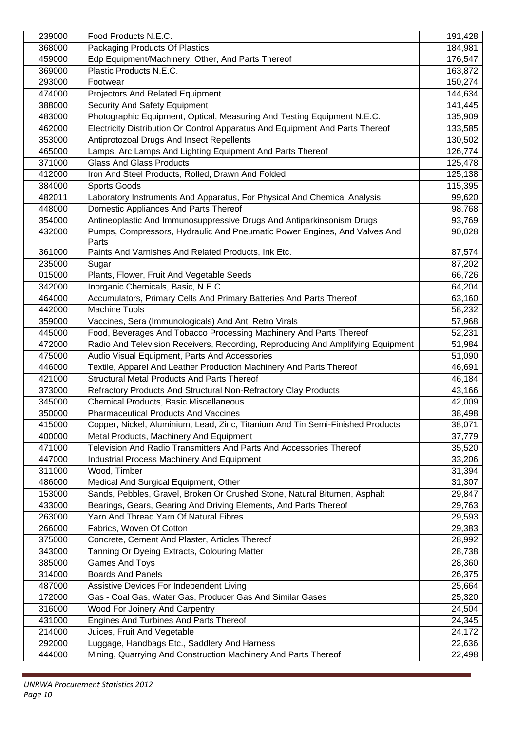| 239000 | Food Products N.E.C.                                                            | 191,428 |
|--------|---------------------------------------------------------------------------------|---------|
| 368000 | Packaging Products Of Plastics                                                  | 184,981 |
| 459000 | Edp Equipment/Machinery, Other, And Parts Thereof                               | 176,547 |
| 369000 | Plastic Products N.E.C.                                                         | 163,872 |
| 293000 | Footwear                                                                        | 150,274 |
| 474000 | Projectors And Related Equipment                                                | 144,634 |
| 388000 | Security And Safety Equipment                                                   | 141,445 |
| 483000 | Photographic Equipment, Optical, Measuring And Testing Equipment N.E.C.         | 135,909 |
| 462000 | Electricity Distribution Or Control Apparatus And Equipment And Parts Thereof   | 133,585 |
| 353000 | Antiprotozoal Drugs And Insect Repellents                                       | 130,502 |
| 465000 | Lamps, Arc Lamps And Lighting Equipment And Parts Thereof                       | 126,774 |
| 371000 | <b>Glass And Glass Products</b>                                                 | 125,478 |
| 412000 | Iron And Steel Products, Rolled, Drawn And Folded                               | 125,138 |
| 384000 | Sports Goods                                                                    | 115,395 |
| 482011 | Laboratory Instruments And Apparatus, For Physical And Chemical Analysis        | 99,620  |
| 448000 | Domestic Appliances And Parts Thereof                                           | 98,768  |
| 354000 | Antineoplastic And Immunosuppressive Drugs And Antiparkinsonism Drugs           | 93,769  |
| 432000 | Pumps, Compressors, Hydraulic And Pneumatic Power Engines, And Valves And       | 90,028  |
|        | Parts                                                                           |         |
| 361000 | Paints And Varnishes And Related Products, Ink Etc.                             | 87,574  |
| 235000 | Sugar                                                                           | 87,202  |
| 015000 | Plants, Flower, Fruit And Vegetable Seeds                                       | 66,726  |
| 342000 | Inorganic Chemicals, Basic, N.E.C.                                              | 64,204  |
| 464000 | Accumulators, Primary Cells And Primary Batteries And Parts Thereof             | 63,160  |
| 442000 | <b>Machine Tools</b>                                                            | 58,232  |
| 359000 | Vaccines, Sera (Immunologicals) And Anti Retro Virals                           | 57,968  |
| 445000 | Food, Beverages And Tobacco Processing Machinery And Parts Thereof              | 52,231  |
| 472000 | Radio And Television Receivers, Recording, Reproducing And Amplifying Equipment | 51,984  |
| 475000 | Audio Visual Equipment, Parts And Accessories                                   | 51,090  |
| 446000 | Textile, Apparel And Leather Production Machinery And Parts Thereof             | 46,691  |
| 421000 | <b>Structural Metal Products And Parts Thereof</b>                              | 46,184  |
| 373000 | Refractory Products And Structural Non-Refractory Clay Products                 | 43,166  |
| 345000 | Chemical Products, Basic Miscellaneous                                          | 42,009  |
| 350000 | <b>Pharmaceutical Products And Vaccines</b>                                     | 38,498  |
| 415000 | Copper, Nickel, Aluminium, Lead, Zinc, Titanium And Tin Semi-Finished Products  | 38,071  |
| 400000 | Metal Products, Machinery And Equipment                                         | 37,779  |
| 471000 | Television And Radio Transmitters And Parts And Accessories Thereof             | 35,520  |
| 447000 | Industrial Process Machinery And Equipment                                      | 33,206  |
| 311000 | Wood, Timber                                                                    | 31,394  |
| 486000 | Medical And Surgical Equipment, Other                                           | 31,307  |
| 153000 | Sands, Pebbles, Gravel, Broken Or Crushed Stone, Natural Bitumen, Asphalt       | 29,847  |
| 433000 | Bearings, Gears, Gearing And Driving Elements, And Parts Thereof                | 29,763  |
| 263000 | Yarn And Thread Yarn Of Natural Fibres                                          | 29,593  |
| 266000 | Fabrics, Woven Of Cotton                                                        | 29,383  |
| 375000 | Concrete, Cement And Plaster, Articles Thereof                                  | 28,992  |
| 343000 | Tanning Or Dyeing Extracts, Colouring Matter                                    | 28,738  |
| 385000 | <b>Games And Toys</b>                                                           | 28,360  |
| 314000 | <b>Boards And Panels</b>                                                        | 26,375  |
| 487000 | Assistive Devices For Independent Living                                        | 25,664  |
| 172000 | Gas - Coal Gas, Water Gas, Producer Gas And Similar Gases                       | 25,320  |
| 316000 | Wood For Joinery And Carpentry                                                  | 24,504  |
| 431000 | Engines And Turbines And Parts Thereof                                          | 24,345  |
| 214000 | Juices, Fruit And Vegetable                                                     | 24,172  |
| 292000 | Luggage, Handbags Etc., Saddlery And Harness                                    | 22,636  |
| 444000 | Mining, Quarrying And Construction Machinery And Parts Thereof                  | 22,498  |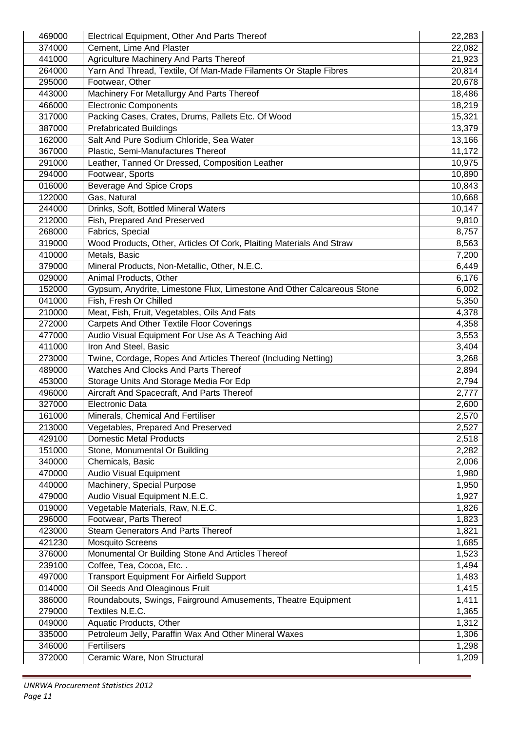| 469000 | Electrical Equipment, Other And Parts Thereof                                                          | 22,283 |
|--------|--------------------------------------------------------------------------------------------------------|--------|
| 374000 | Cement, Lime And Plaster                                                                               | 22,082 |
| 441000 | Agriculture Machinery And Parts Thereof                                                                | 21,923 |
| 264000 | Yarn And Thread, Textile, Of Man-Made Filaments Or Staple Fibres                                       | 20,814 |
| 295000 | Footwear, Other                                                                                        | 20,678 |
| 443000 | Machinery For Metallurgy And Parts Thereof                                                             | 18,486 |
| 466000 | <b>Electronic Components</b>                                                                           | 18,219 |
| 317000 | Packing Cases, Crates, Drums, Pallets Etc. Of Wood                                                     | 15,321 |
| 387000 | <b>Prefabricated Buildings</b>                                                                         | 13,379 |
| 162000 | Salt And Pure Sodium Chloride, Sea Water                                                               | 13,166 |
| 367000 | Plastic, Semi-Manufactures Thereof                                                                     | 11,172 |
| 291000 | Leather, Tanned Or Dressed, Composition Leather                                                        | 10,975 |
| 294000 | Footwear, Sports                                                                                       | 10,890 |
| 016000 | <b>Beverage And Spice Crops</b>                                                                        | 10,843 |
| 122000 | Gas, Natural                                                                                           | 10,668 |
| 244000 | Drinks, Soft, Bottled Mineral Waters                                                                   | 10,147 |
| 212000 | Fish, Prepared And Preserved                                                                           | 9,810  |
| 268000 | Fabrics, Special                                                                                       | 8,757  |
| 319000 | Wood Products, Other, Articles Of Cork, Plaiting Materials And Straw                                   | 8,563  |
| 410000 | Metals, Basic                                                                                          | 7,200  |
| 379000 | Mineral Products, Non-Metallic, Other, N.E.C.                                                          | 6,449  |
| 029000 | Animal Products, Other                                                                                 | 6,176  |
| 152000 | Gypsum, Anydrite, Limestone Flux, Limestone And Other Calcareous Stone                                 | 6,002  |
|        |                                                                                                        |        |
| 041000 | Fish, Fresh Or Chilled                                                                                 | 5,350  |
| 210000 | Meat, Fish, Fruit, Vegetables, Oils And Fats                                                           | 4,378  |
| 272000 | <b>Carpets And Other Textile Floor Coverings</b>                                                       | 4,358  |
| 477000 | Audio Visual Equipment For Use As A Teaching Aid                                                       | 3,553  |
| 411000 | Iron And Steel, Basic                                                                                  | 3,404  |
| 273000 | Twine, Cordage, Ropes And Articles Thereof (Including Netting)<br>Watches And Clocks And Parts Thereof | 3,268  |
| 489000 |                                                                                                        | 2,894  |
| 453000 | Storage Units And Storage Media For Edp                                                                | 2,794  |
| 496000 | Aircraft And Spacecraft, And Parts Thereof                                                             | 2,777  |
| 327000 | <b>Electronic Data</b>                                                                                 | 2,600  |
| 161000 | Minerals, Chemical And Fertiliser                                                                      | 2,570  |
| 213000 | Vegetables, Prepared And Preserved                                                                     | 2,527  |
| 429100 | <b>Domestic Metal Products</b>                                                                         | 2,518  |
| 151000 | Stone, Monumental Or Building                                                                          | 2,282  |
| 340000 | Chemicals, Basic                                                                                       | 2,006  |
| 470000 | <b>Audio Visual Equipment</b>                                                                          | 1,980  |
| 440000 | Machinery, Special Purpose                                                                             | 1,950  |
| 479000 | Audio Visual Equipment N.E.C.                                                                          | 1,927  |
| 019000 | Vegetable Materials, Raw, N.E.C.                                                                       | 1,826  |
| 296000 | Footwear, Parts Thereof                                                                                | 1,823  |
| 423000 | Steam Generators And Parts Thereof                                                                     | 1,821  |
| 421230 | <b>Mosquito Screens</b>                                                                                | 1,685  |
| 376000 | Monumental Or Building Stone And Articles Thereof                                                      | 1,523  |
| 239100 | Coffee, Tea, Cocoa, Etc                                                                                | 1,494  |
| 497000 | <b>Transport Equipment For Airfield Support</b>                                                        | 1,483  |
| 014000 | Oil Seeds And Oleaginous Fruit                                                                         | 1,415  |
| 386000 | Roundabouts, Swings, Fairground Amusements, Theatre Equipment                                          | 1,411  |
| 279000 | Textiles N.E.C.                                                                                        | 1,365  |
| 049000 | Aquatic Products, Other                                                                                | 1,312  |
| 335000 | Petroleum Jelly, Paraffin Wax And Other Mineral Waxes                                                  | 1,306  |
| 346000 | Fertilisers                                                                                            | 1,298  |
| 372000 | Ceramic Ware, Non Structural                                                                           | 1,209  |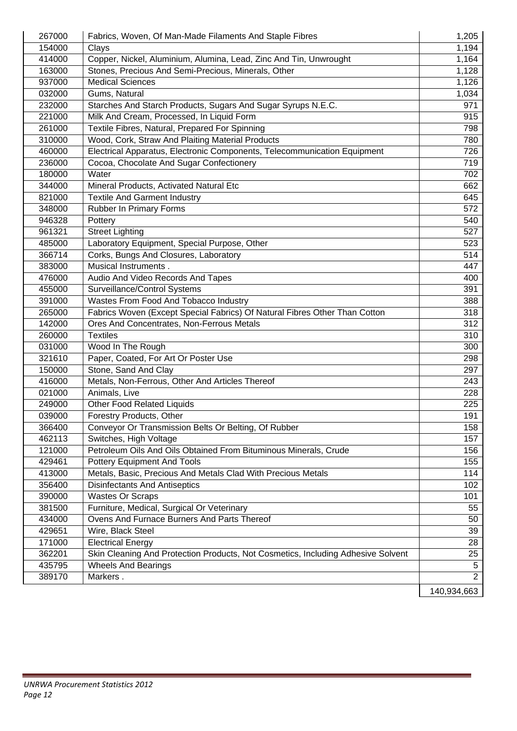| 267000 | Fabrics, Woven, Of Man-Made Filaments And Staple Fibres                          | 1,205          |
|--------|----------------------------------------------------------------------------------|----------------|
| 154000 | Clays                                                                            | 1,194          |
| 414000 | Copper, Nickel, Aluminium, Alumina, Lead, Zinc And Tin, Unwrought                | 1,164          |
| 163000 | Stones, Precious And Semi-Precious, Minerals, Other                              | 1,128          |
| 937000 | <b>Medical Sciences</b>                                                          | 1,126          |
| 032000 | Gums, Natural                                                                    | 1,034          |
| 232000 | Starches And Starch Products, Sugars And Sugar Syrups N.E.C.                     | 971            |
| 221000 | Milk And Cream, Processed, In Liquid Form                                        | 915            |
| 261000 | Textile Fibres, Natural, Prepared For Spinning                                   | 798            |
| 310000 | Wood, Cork, Straw And Plaiting Material Products                                 | 780            |
| 460000 | Electrical Apparatus, Electronic Components, Telecommunication Equipment         | 726            |
| 236000 | Cocoa, Chocolate And Sugar Confectionery                                         | 719            |
| 180000 | Water                                                                            | 702            |
| 344000 | Mineral Products, Activated Natural Etc                                          | 662            |
| 821000 | <b>Textile And Garment Industry</b>                                              | 645            |
| 348000 | Rubber In Primary Forms                                                          | 572            |
| 946328 | Pottery                                                                          | 540            |
| 961321 | <b>Street Lighting</b>                                                           | 527            |
| 485000 | Laboratory Equipment, Special Purpose, Other                                     | 523            |
| 366714 | Corks, Bungs And Closures, Laboratory                                            | 514            |
| 383000 | Musical Instruments.                                                             | 447            |
| 476000 | Audio And Video Records And Tapes                                                | 400            |
| 455000 | Surveillance/Control Systems                                                     | 391            |
| 391000 | Wastes From Food And Tobacco Industry                                            | 388            |
| 265000 | Fabrics Woven (Except Special Fabrics) Of Natural Fibres Other Than Cotton       | 318            |
| 142000 | Ores And Concentrates, Non-Ferrous Metals                                        | 312            |
| 260000 | <b>Textiles</b>                                                                  | 310            |
| 031000 | Wood In The Rough                                                                | 300            |
| 321610 | Paper, Coated, For Art Or Poster Use                                             | 298            |
| 150000 | Stone, Sand And Clay                                                             | 297            |
| 416000 | Metals, Non-Ferrous, Other And Articles Thereof                                  | 243            |
| 021000 | Animals, Live                                                                    | 228            |
| 249000 | Other Food Related Liquids                                                       | 225            |
| 039000 | Forestry Products, Other                                                         | 191            |
| 366400 | Conveyor Or Transmission Belts Or Belting, Of Rubber                             | 158            |
| 462113 | Switches, High Voltage                                                           | 157            |
| 121000 | Petroleum Oils And Oils Obtained From Bituminous Minerals, Crude                 | 156            |
| 429461 | Pottery Equipment And Tools                                                      | 155            |
| 413000 | Metals, Basic, Precious And Metals Clad With Precious Metals                     | 114            |
| 356400 | <b>Disinfectants And Antiseptics</b>                                             | 102            |
| 390000 | <b>Wastes Or Scraps</b>                                                          | 101            |
| 381500 | Furniture, Medical, Surgical Or Veterinary                                       | 55             |
| 434000 | Ovens And Furnace Burners And Parts Thereof                                      | 50             |
| 429651 | Wire, Black Steel                                                                | 39             |
| 171000 | <b>Electrical Energy</b>                                                         | 28             |
| 362201 | Skin Cleaning And Protection Products, Not Cosmetics, Including Adhesive Solvent | 25             |
| 435795 | <b>Wheels And Bearings</b>                                                       | $\overline{5}$ |
| 389170 | Markers.                                                                         | $\overline{2}$ |
|        |                                                                                  | 140,934,663    |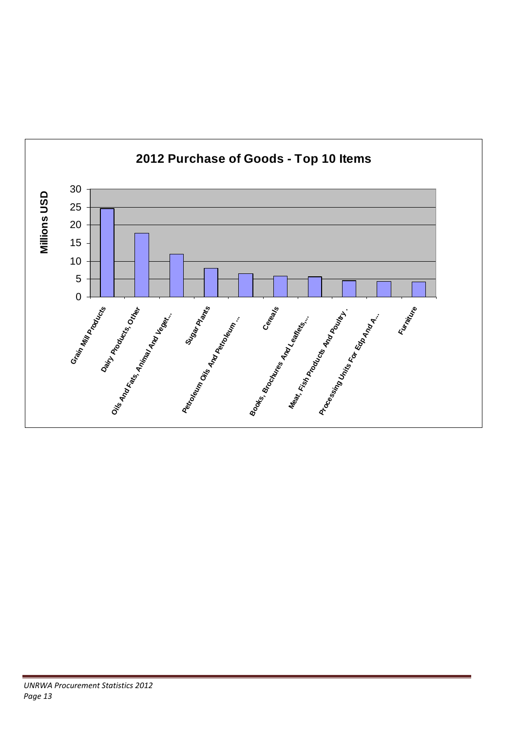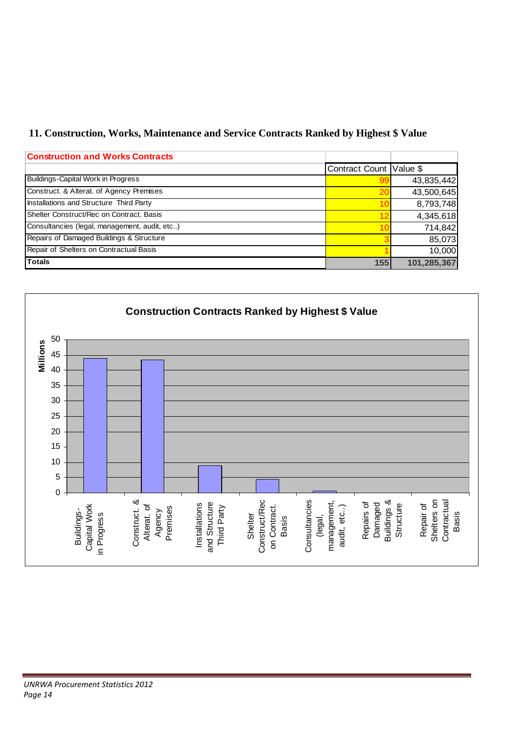# **11. Construction, Works, Maintenance and Service Contracts Ranked by Highest \$ Value**

| <b>Construction and Works Contracts</b>       |                         |             |
|-----------------------------------------------|-------------------------|-------------|
|                                               | Contract Count Value \$ |             |
| Buildings-Capital Work in Progress            | 99                      | 43,835,442  |
| Construct. & Alterat. of Agency Premises      | 20                      | 43,500,645  |
| Installations and Structure Third Party       | 10 <sub>1</sub>         | 8,793,748   |
| Shelter Construct/Rec on Contract. Basis      | 12                      | 4,345,618   |
| Consultancies (legal, management, audit, etc) | 10                      | 714,842     |
| Repairs of Damaged Buildings & Structure      |                         | 85,073      |
| Repair of Shelters on Contractual Basis       |                         | 10,000      |
| <b>Totals</b>                                 | 155                     | 101,285,367 |